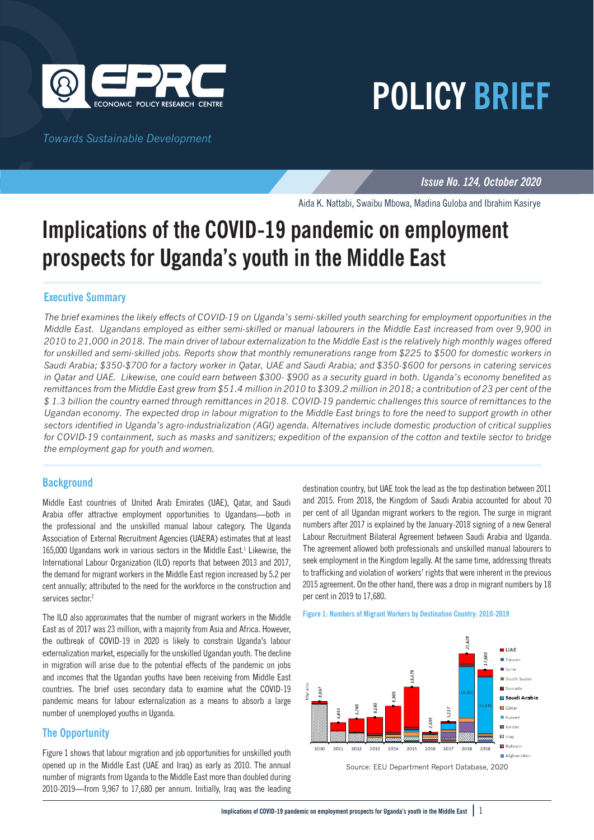

*Towards Sustainable Development*

*Issue No. 124, October 2020*

**POLICY BRIEF**

Aida K. Nattabi, Swaibu Mbowa, Madina Guloba and Ibrahim Kasirye

# **Implications of the COVID-19 pandemic on employment prospects for Uganda's youth in the Middle East**

### **Executive Summary**

*The brief examines the likely effects of COVID-19 on Uganda's semi-skilled youth searching for employment opportunities in the Middle East. Ugandans employed as either semi-skilled or manual labourers in the Middle East increased from over 9,900 in 2010 to 21,000 in 2018. The main driver of labour externalization to the Middle East is the relatively high monthly wages offered for unskilled and semi-skilled jobs. Reports show that monthly remunerations range from \$225 to \$500 for domestic workers in Saudi Arabia; \$350-\$700 for a factory worker in Qatar, UAE and Saudi Arabia; and \$350-\$600 for persons in catering services in Qatar and UAE. Likewise, one could earn between \$300- \$900 as a security guard in both. Uganda's economy benefited as remittances from the Middle East grew from \$51.4 million in 2010 to \$309.2 million in 2018; a contribution of 23 per cent of the \$ 1.3 billion the country earned through remittances in 2018. COVID-19 pandemic challenges this source of remittances to the Ugandan economy. The expected drop in labour migration to the Middle East brings to fore the need to support growth in other sectors identified in Uganda's agro-industrialization (AGI) agenda. Alternatives include domestic production of critical supplies for COVID-19 containment, such as masks and sanitizers; expedition of the expansion of the cotton and textile sector to bridge the employment gap for youth and women.* 

#### **Background**

Middle East countries of United Arab Emirates (UAE), Qatar, and Saudi Arabia offer attractive employment opportunities to Ugandans—both in the professional and the unskilled manual labour category. The Uganda Association of External Recruitment Agencies (UAERA) estimates that at least 165,000 Ugandans work in various sectors in the Middle East.<sup>1</sup> Likewise, the International Labour Organization (ILO) reports that between 2013 and 2017, the demand for migrant workers in the Middle East region increased by 5.2 per cent annually; attributed to the need for the workforce in the construction and services sector.<sup>2</sup>

The ILO also approximates that the number of migrant workers in the Middle East as of 2017 was 23 million, with a majority from Asia and Africa. However, the outbreak of COVID-19 in 2020 is likely to constrain Uganda's labour externalization market, especially for the unskilled Ugandan youth. The decline in migration will arise due to the potential effects of the pandemic on jobs and incomes that the Ugandan youths have been receiving from Middle East countries. The brief uses secondary data to examine what the COVID-19 pandemic means for labour externalization as a means to absorb a large number of unemployed youths in Uganda.

# **The Opportunity**

Figure 1 shows that labour migration and job opportunities for unskilled youth opened up in the Middle East (UAE and Iraq) as early as 2010. The annual number of migrants from Uganda to the Middle East more than doubled during 2010-2019—from 9,967 to 17,680 per annum. Initially, Iraq was the leading

destination country, but UAE took the lead as the top destination between 2011 and 2015. From 2018, the Kingdom of Saudi Arabia accounted for about 70 per cent of all Ugandan migrant workers to the region. The surge in migrant numbers after 2017 is explained by the January-2018 signing of a new General Labour Recruitment Bilateral Agreement between Saudi Arabia and Uganda. The agreement allowed both professionals and unskilled manual labourers to seek employment in the Kingdom legally. At the same time, addressing threats to trafficking and violation of workers' rights that were inherent in the previous 2015 agreement. On the other hand, there was a drop in migrant numbers by 18 per cent in 2019 to 17,680.





Source: EEU Department Report Database, 2020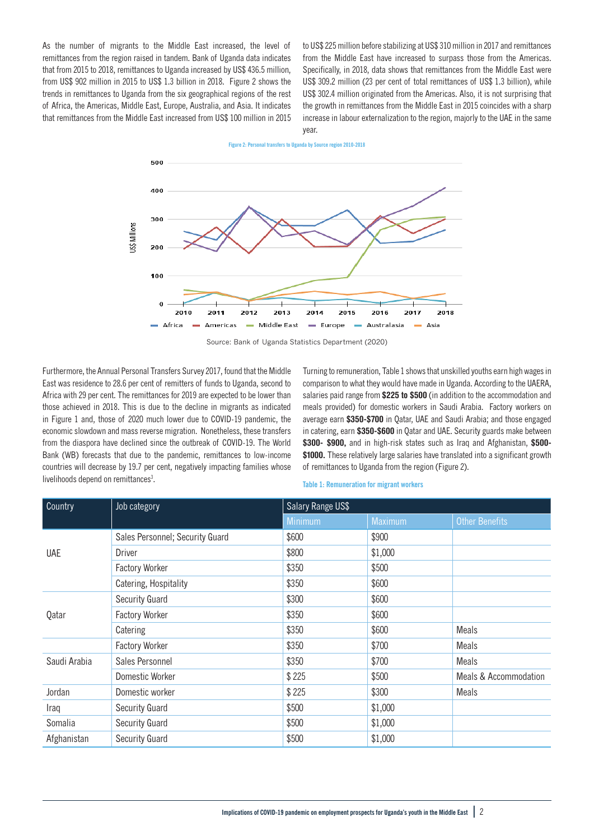As the number of migrants to the Middle East increased, the level of remittances from the region raised in tandem. Bank of Uganda data indicates that from 2015 to 2018, remittances to Uganda increased by US\$ 436.5 million, from US\$ 902 million in 2015 to US\$ 1.3 billion in 2018. Figure 2 shows the trends in remittances to Uganda from the six geographical regions of the rest of Africa, the Americas, Middle East, Europe, Australia, and Asia. It indicates that remittances from the Middle East increased from US\$ 100 million in 2015

to US\$ 225 million before stabilizing at US\$ 310 million in 2017 and remittances from the Middle East have increased to surpass those from the Americas. Specifically, in 2018, data shows that remittances from the Middle East were US\$ 309.2 million (23 per cent of total remittances of US\$ 1.3 billion), while US\$ 302.4 million originated from the Americas. Also, it is not surprising that the growth in remittances from the Middle East in 2015 coincides with a sharp increase in labour externalization to the region, majorly to the UAE in the same year.

**Figure 2: Personal transfers to Uganda by Source region 2010-2018**



Source: Bank of Uganda Statistics Department (2020)

Furthermore, the Annual Personal Transfers Survey 2017, found that the Middle East was residence to 28.6 per cent of remitters of funds to Uganda, second to Africa with 29 per cent. The remittances for 2019 are expected to be lower than those achieved in 2018. This is due to the decline in migrants as indicated in Figure 1 and, those of 2020 much lower due to COVID-19 pandemic, the economic slowdown and mass reverse migration. Nonetheless, these transfers from the diaspora have declined since the outbreak of COVID-19. The World Bank (WB) forecasts that due to the pandemic, remittances to low-income countries will decrease by 19.7 per cent, negatively impacting families whose livelihoods depend on remittances<sup>3</sup>.

Turning to remuneration, Table 1 shows that unskilled youths earn high wages in comparison to what they would have made in Uganda. According to the UAERA, salaries paid range from **\$225 to \$500** (in addition to the accommodation and meals provided) for domestic workers in Saudi Arabia. Factory workers on average earn **\$350-\$700** in Qatar, UAE and Saudi Arabia; and those engaged in catering, earn **\$350-\$600** in Qatar and UAE. Security guards make between **\$300- \$900,** and in high-risk states such as Iraq and Afghanistan, **\$500- \$1000.** These relatively large salaries have translated into a significant growth of remittances to Uganda from the region (Figure 2).

**Table 1: Remuneration for migrant workers**

| Country      | Job category                    | Salary Range US\$ |                |                                  |
|--------------|---------------------------------|-------------------|----------------|----------------------------------|
|              |                                 | <b>Minimum</b>    | <b>Maximum</b> | <b>Other Benefits</b>            |
| <b>UAE</b>   | Sales Personnel; Security Guard | \$600             | \$900          |                                  |
|              | Driver                          | \$800             | \$1,000        |                                  |
|              | Factory Worker                  | \$350             | \$500          |                                  |
|              | Catering, Hospitality           | \$350             | \$600          |                                  |
| Qatar        | Security Guard                  | \$300             | \$600          |                                  |
|              | Factory Worker                  | \$350             | \$600          |                                  |
|              | Catering                        | \$350             | \$600          | <b>Meals</b>                     |
|              | <b>Factory Worker</b>           | \$350             | \$700          | <b>Meals</b>                     |
| Saudi Arabia | Sales Personnel                 | \$350             | \$700          | <b>Meals</b>                     |
|              | Domestic Worker                 | \$225             | \$500          | <b>Meals &amp; Accommodation</b> |
| Jordan       | Domestic worker                 | \$225             | \$300          | <b>Meals</b>                     |
| Iraq         | Security Guard                  | \$500             | \$1,000        |                                  |
| Somalia      | Security Guard                  | \$500             | \$1,000        |                                  |
| Afghanistan  | Security Guard                  | \$500             | \$1,000        |                                  |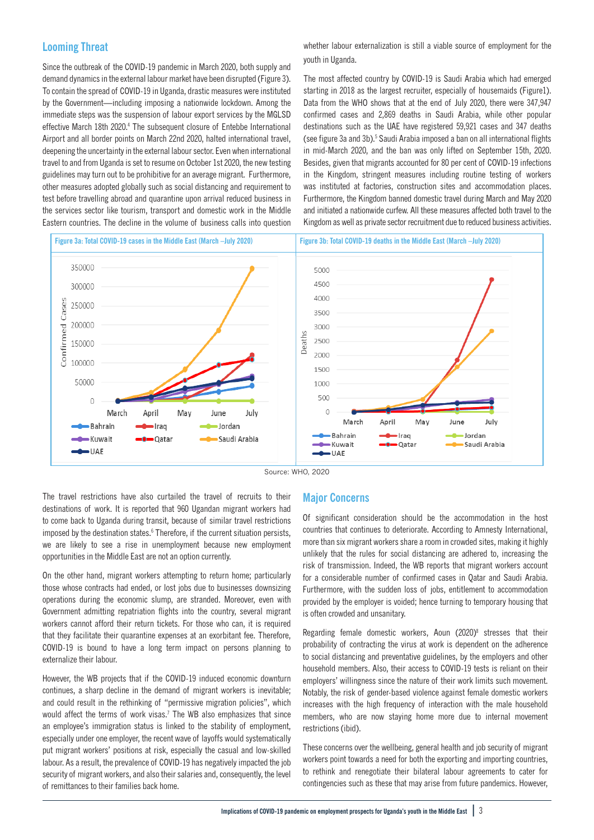# **Looming Threat**

Since the outbreak of the COVID-19 pandemic in March 2020, both supply and demand dynamics in the external labour market have been disrupted (Figure 3). To contain the spread of COVID-19 in Uganda, drastic measures were instituted by the Government—including imposing a nationwide lockdown. Among the immediate steps was the suspension of labour export services by the MGLSD effective March 18th 2020.<sup>4</sup> The subsequent closure of Entebbe International Airport and all border points on March 22nd 2020, halted international travel, deepening the uncertainty in the external labour sector. Even when international travel to and from Uganda is set to resume on October 1st 2020, the new testing guidelines may turn out to be prohibitive for an average migrant. Furthermore, other measures adopted globally such as social distancing and requirement to test before travelling abroad and quarantine upon arrival reduced business in the services sector like tourism, transport and domestic work in the Middle Eastern countries. The decline in the volume of business calls into question

whether labour externalization is still a viable source of employment for the youth in Uganda.

The most affected country by COVID-19 is Saudi Arabia which had emerged starting in 2018 as the largest recruiter, especially of housemaids (Figure1). Data from the WHO shows that at the end of July 2020, there were 347,947 confirmed cases and 2,869 deaths in Saudi Arabia, while other popular destinations such as the UAE have registered 59,921 cases and 347 deaths (see figure 3a and 3b).<sup>5</sup> Saudi Arabia imposed a ban on all international flights in mid-March 2020, and the ban was only lifted on September 15th, 2020. Besides, given that migrants accounted for 80 per cent of COVID-19 infections in the Kingdom, stringent measures including routine testing of workers was instituted at factories, construction sites and accommodation places. Furthermore, the Kingdom banned domestic travel during March and May 2020 and initiated a nationwide curfew. All these measures affected both travel to the Kingdom as well as private sector recruitment due to reduced business activities.



Source: WHO, 2020

The travel restrictions have also curtailed the travel of recruits to their destinations of work. It is reported that 960 Ugandan migrant workers had to come back to Uganda during transit, because of similar travel restrictions imposed by the destination states.<sup>6</sup> Therefore, if the current situation persists, we are likely to see a rise in unemployment because new employment opportunities in the Middle East are not an option currently.

On the other hand, migrant workers attempting to return home; particularly those whose contracts had ended, or lost jobs due to businesses downsizing operations during the economic slump, are stranded. Moreover, even with Government admitting repatriation flights into the country, several migrant workers cannot afford their return tickets. For those who can, it is required that they facilitate their quarantine expenses at an exorbitant fee. Therefore, COVID-19 is bound to have a long term impact on persons planning to externalize their labour.

However, the WB projects that if the COVID-19 induced economic downturn continues, a sharp decline in the demand of migrant workers is inevitable; and could result in the rethinking of "permissive migration policies", which would affect the terms of work visas.<sup>7</sup> The WB also emphasizes that since an employee's immigration status is linked to the stability of employment, especially under one employer, the recent wave of layoffs would systematically put migrant workers' positions at risk, especially the casual and low-skilled labour. As a result, the prevalence of COVID-19 has negatively impacted the job security of migrant workers, and also their salaries and, consequently, the level of remittances to their families back home.

#### **Major Concerns**

Of significant consideration should be the accommodation in the host countries that continues to deteriorate. According to Amnesty International, more than six migrant workers share a room in crowded sites, making it highly unlikely that the rules for social distancing are adhered to, increasing the risk of transmission. Indeed, the WB reports that migrant workers account for a considerable number of confirmed cases in Qatar and Saudi Arabia. Furthermore, with the sudden loss of jobs, entitlement to accommodation provided by the employer is voided; hence turning to temporary housing that is often crowded and unsanitary.

Regarding female domestic workers, Aoun (2020)<sup>8</sup> stresses that their probability of contracting the virus at work is dependent on the adherence to social distancing and preventative guidelines, by the employers and other household members. Also, their access to COVID-19 tests is reliant on their employers' willingness since the nature of their work limits such movement. Notably, the risk of gender-based violence against female domestic workers increases with the high frequency of interaction with the male household members, who are now staying home more due to internal movement restrictions (ibid).

These concerns over the wellbeing, general health and job security of migrant workers point towards a need for both the exporting and importing countries, to rethink and renegotiate their bilateral labour agreements to cater for contingencies such as these that may arise from future pandemics. However,